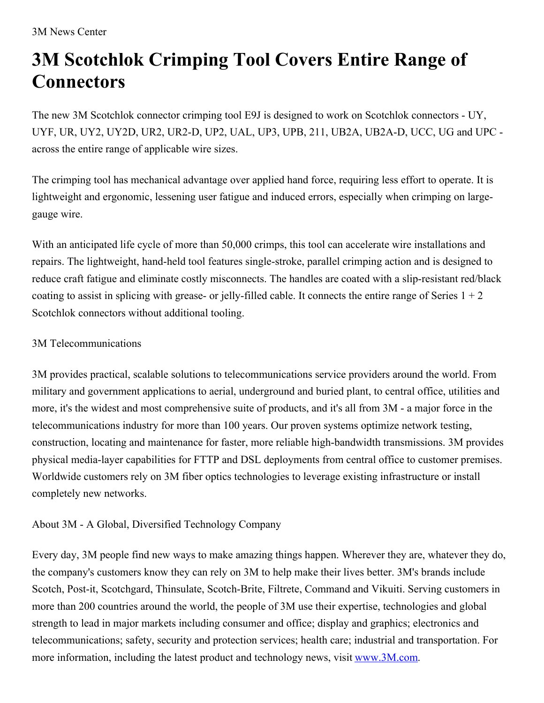## **3M Scotchlok Crimping Tool Covers Entire Range of Connectors**

The new 3M Scotchlok connector crimping tool E9J is designed to work on Scotchlok connectors - UY, UYF, UR, UY2, UY2D, UR2, UR2-D, UP2, UAL, UP3, UPB, 211, UB2A, UB2A-D, UCC, UG and UPC across the entire range of applicable wire sizes.

The crimping tool has mechanical advantage over applied hand force, requiring less effort to operate. It is lightweight and ergonomic, lessening user fatigue and induced errors, especially when crimping on largegauge wire.

With an anticipated life cycle of more than 50,000 crimps, this tool can accelerate wire installations and repairs. The lightweight, hand-held tool features single-stroke, parallel crimping action and is designed to reduce craft fatigue and eliminate costly misconnects. The handles are coated with a slip-resistant red/black coating to assist in splicing with grease- or jelly-filled cable. It connects the entire range of Series  $1 + 2$ Scotchlok connectors without additional tooling.

## 3M Telecommunications

3M provides practical, scalable solutions to telecommunications service providers around the world. From military and government applications to aerial, underground and buried plant, to central office, utilities and more, it's the widest and most comprehensive suite of products, and it's all from 3M - a major force in the telecommunications industry for more than 100 years. Our proven systems optimize network testing, construction, locating and maintenance for faster, more reliable high-bandwidth transmissions. 3M provides physical media-layer capabilities for FTTP and DSL deployments from central office to customer premises. Worldwide customers rely on 3M fiber optics technologies to leverage existing infrastructure or install completely new networks.

## About 3M - A Global, Diversified Technology Company

Every day, 3M people find new ways to make amazing things happen. Wherever they are, whatever they do, the company's customers know they can rely on 3M to help make their lives better. 3M's brands include Scotch, Post-it, Scotchgard, Thinsulate, Scotch-Brite, Filtrete, Command and Vikuiti. Serving customers in more than 200 countries around the world, the people of 3M use their expertise, technologies and global strength to lead in major markets including consumer and office; display and graphics; electronics and telecommunications; safety, security and protection services; health care; industrial and transportation. For more information, including the latest product and technology news, visit [www.3M.com](http://www.3m.com/).